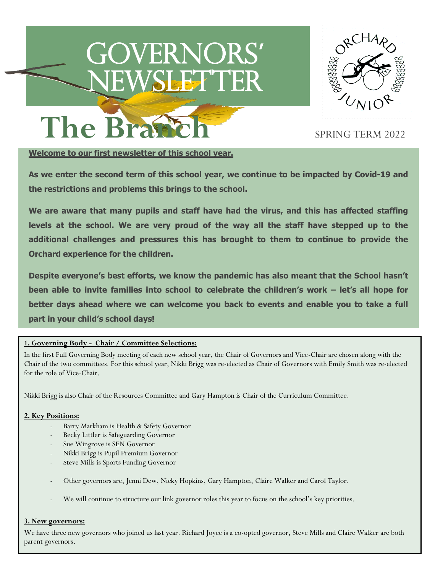# Governors**'** newsletter<br>Die Stadt



The Brastch SPRING TERM 2022

## **Welcome to our first newsletter of this school year.**

**As we enter the second term of this school year, we continue to be impacted by Covid-19 and the restrictions and problems this brings to the school.**

**We are aware that many pupils and staff have had the virus, and this has affected staffing levels at the school. We are very proud of the way all the staff have stepped up to the additional challenges and pressures this has brought to them to continue to provide the Orchard experience for the children.**

**Despite everyone's best efforts, we know the pandemic has also meant that the School hasn't been able to invite families into school to celebrate the children's work – let's all hope for better days ahead where we can welcome you back to events and enable you to take a full part in your child's school days!**

#### **1. Governing Body - Chair / Committee Selections:**

In the first Full Governing Body meeting of each new school year, the Chair of Governors and Vice-Chair are chosen along with the Chair of the two committees. For this school year, Nikki Brigg was re-elected as Chair of Governors with Emily Smith was re-elected for the role of Vice-Chair.

Nikki Brigg is also Chair of the Resources Committee and Gary Hampton is Chair of the Curriculum Committee.

#### **2. Key Positions:**

- Barry Markham is Health & Safety Governor
- Becky Littler is Safeguarding Governor
- Sue Wingrove is SEN Governor
- Nikki Brigg is Pupil Premium Governor
- Steve Mills is Sports Funding Governor
- Other governors are, Jenni Dew, Nicky Hopkins, Gary Hampton, Claire Walker and Carol Taylor.
- We will continue to structure our link governor roles this year to focus on the school's key priorities.

#### **3. New governors:**

We have three new governors who joined us last year. Richard Joyce is a co-opted governor, Steve Mills and Claire Walker are both parent governors.